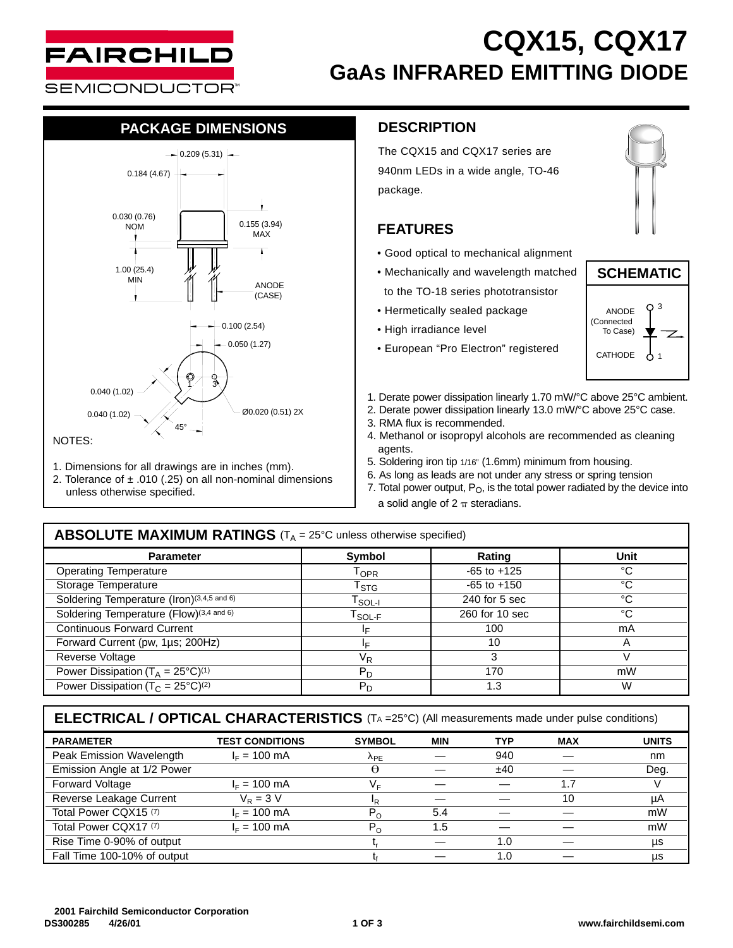

# **CQX15, CQX17 GaAs INFRARED EMITTING DIODE**

**SEMICONDUCTOR** 

## **PACKAGE DIMENSIONS**



- 1. Dimensions for all drawings are in inches (mm).
- 2. Tolerance of  $\pm$  .010 (.25) on all non-nominal dimensions unless otherwise specified.

### **DESCRIPTION**

The CQX15 and CQX17 series are 940nm LEDs in a wide angle, TO-46 package.

### **FEATURES**

- Good optical to mechanical alignment
- Mechanically and wavelength matched to the TO-18 series phototransistor
- Hermetically sealed package
- High irradiance level
- European "Pro Electron" registered





- 1. Derate power dissipation linearly 1.70 mW/°C above 25°C ambient.
- 2. Derate power dissipation linearly 13.0 mW/°C above 25°C case.
- 3. RMA flux is recommended.
- 4. Methanol or isopropyl alcohols are recommended as cleaning agents.
- 5. Soldering iron tip 1/16" (1.6mm) minimum from housing.
- 6. As long as leads are not under any stress or spring tension
- 7. Total power output,  $P_O$ , is the total power radiated by the device into a solid angle of  $2 \pi$  steradians.

### **ABSOLUTE MAXIMUM RATINGS** (T<sub>A</sub> = 25°C unless otherwise specified)

| <b>Parameter</b>                                         | <b>Symbol</b>             | Rating          | Unit |  |
|----------------------------------------------------------|---------------------------|-----------------|------|--|
| <b>Operating Temperature</b>                             | $1$ OPR                   | $-65$ to $+125$ | °C   |  |
| Storage Temperature                                      | $\mathsf{T}_{\text{STG}}$ | $-65$ to $+150$ | °C   |  |
| Soldering Temperature (Iron)(3,4,5 and 6)                | T <sub>SOL-I</sub>        | 240 for 5 sec   | °C   |  |
| Soldering Temperature (Flow)(3,4 and 6)                  | <sup>I</sup> SOL-F        | 260 for 10 sec  | °C   |  |
| Continuous Forward Current                               | I⊏                        | 100             | mA   |  |
| Forward Current (pw, 1µs; 200Hz)                         |                           | 10              |      |  |
| Reverse Voltage                                          | VR                        | 3               |      |  |
| Power Dissipation ( $T_A = 25^{\circ}C$ ) <sup>(1)</sup> | $P_D$                     | 170             | mW   |  |
| Power Dissipation ( $T_c = 25^{\circ}C^{(2)}$            | $P_D$                     | 1.3             | W    |  |

**ELECTRICAL / OPTICAL CHARACTERISTICS** (TA =25°C) (All measurements made under pulse conditions)

| <b>PARAMETER</b>            | <b>TEST CONDITIONS</b> | <b>SYMBOL</b>  | <b>MIN</b> | TYP | <b>MAX</b> | <b>UNITS</b> |
|-----------------------------|------------------------|----------------|------------|-----|------------|--------------|
| Peak Emission Wavelength    | $I_F = 100$ mA         | $\lambda_{PE}$ |            | 940 |            | nm           |
| Emission Angle at 1/2 Power |                        | θ              |            | ±40 |            | Deg.         |
| <b>Forward Voltage</b>      | $I_F = 100$ mA         | VF             |            |     | 1.7        |              |
| Reverse Leakage Current     | $V_{\rm P}$ = 3 V      | ΙR.            |            |     | 10         | μA           |
| Total Power CQX15 (7)       | $I_F = 100$ mA         | $P_{O}$        | 5.4        |     |            | mW           |
| Total Power CQX17 (7)       | $IE = 100$ mA          | $P_{O}$        | 1.5        |     |            | mW           |
| Rise Time 0-90% of output   |                        |                |            | 1.0 |            | μs           |
| Fall Time 100-10% of output |                        |                |            | 1.0 |            | μs           |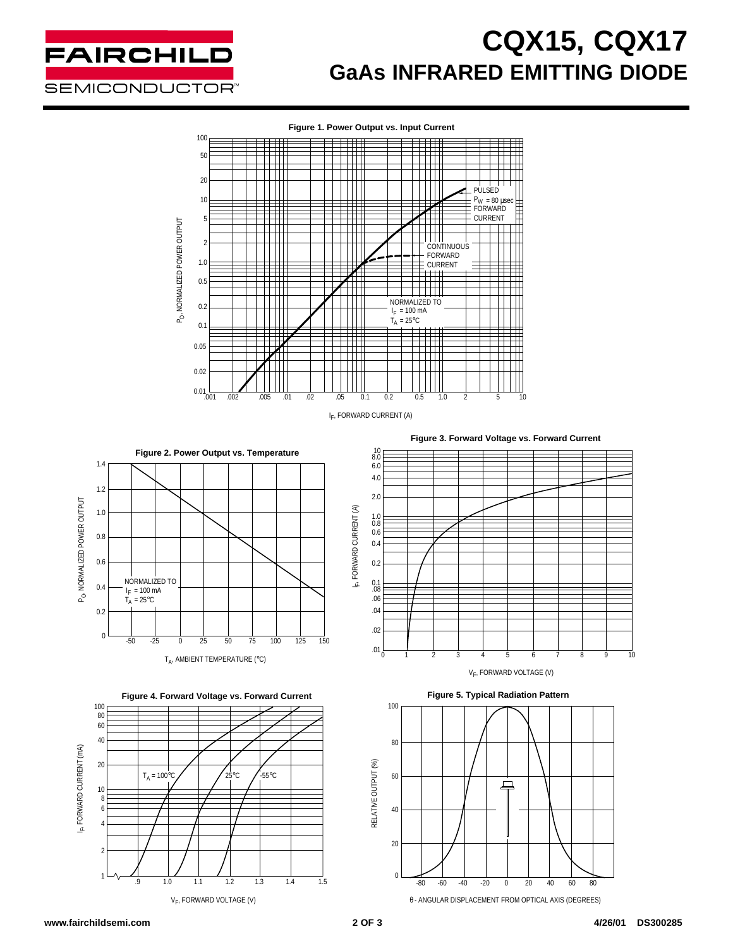

# **CQX15, CQX17 GaAs INFRARED EMITTING DIODE**



IF, FORWARD CURRENT (A)

I<sub>F</sub>, FORWARD CURRENT (A)



 $T_A$ , AMBIENT TEMPERATURE (°C)





**Figure 3. Forward Voltage vs. Forward Current**